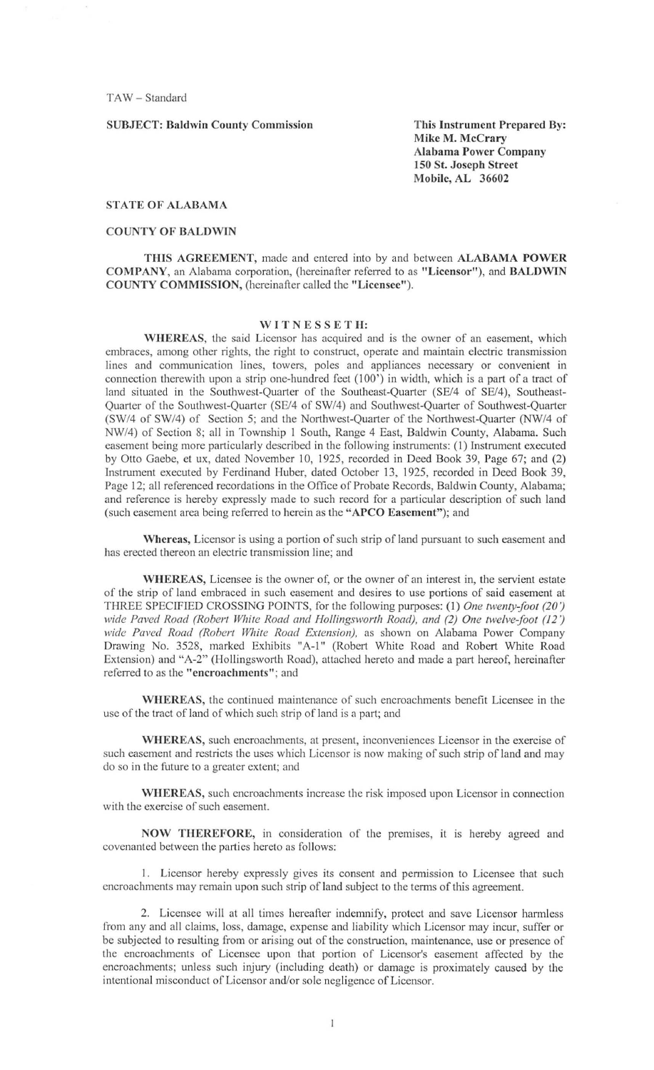TAW - Standard

### SUBJECT: Baldwin Connty Commission

This Instrument Prepared By: Mike M. McCrary Alabama Power Company 150 St. Joseph Street Mobile, AL 36602

## STATE OF ALABAMA

## COUNTY OF BALDWIN

THIS AGREEMENT, made and entered into by and between ALABAMA POWER COMPANY, an Alabama corporation, (hereinafter referred to as "Licensor"), and BALDWIN COUNTY COMMISSION, (hereinafter called the "Licensee").

### WITNESSETH:

WHEREAS, the said Licensor has acquired and is the owner of an easement, which embraces, among other rights, the right to construct, operate and maintain electric transmission lines and communication lines, towers, poles and appliances necessary or convenient in connection therewith upon a strip one-hundred feet  $(100')$  in width, which is a part of a tract of land situated in the Southwest-Quarter of the Southeast-Quarter (SE/4 of SE/4), Southeast-Quarter of the Southwest-Quarter (SE/4 of SW/4) and Southwest-Quarter of Southwest-Quarter (SW/4 of SW/4) of Section 5; and the Northwest-Quarter of the Northwest-Quarter (NW/4 of NW/4) of Section 8; all in Township I South, Range 4 East, Baldwin County, Alabama\_ Such easement being more particularly described in the following instruments: (I) Instrument executed by Otto Gaebe, et ux, dated November 10, 1925, recorded in Deed Book 39, Page 67; and (2) Instrument executed by Ferdinand Huber, dated October 13, 1925, recorded in Deed Book 39, Page 12; all referenced recordations in the Office of Probate Records, Baldwin County, Alabama; and referencc is hereby expressly made to such record for a particular description of such land (such easement area being referred to herein as the "APCO Easement"); and

Whereas, Licensor is using a portion of such strip of land pursuant to such easement and has erected thereon an electric transmission line; and

WHEREAS, Licensee is the owner of, or the owner of an interest in, the servient estate of the strip of land embraced in such easement and desires to use portions of said easement at THREE SPECIFIED CROSSING POINTS, for the following purposes: (1) One twenty-foot (20') *\Vide Paved Road (Roberl While Road and f1ollingsworlh Road). and* (2) *One lwelve-foot* (12") *wide Paved Road (Robert While Road Extension),* as shown on Alabama Power Company Drawing No. 3528, marked Exhibits "A-1" (Robert White Road and Robert White Road Extension) and "A-2" (Hollingsworth Road), attached hereto and made a part hereof, hereinafter **referred to as the "encroachments"; and** 

WHEREAS, the continued maintenance of such encroachments benefit Licensee in the use of the tract of land of which such strip of land is a part; and

WHEREAS, such encroachments, at present, inconveniences Licensor in the exercise of such easement and restricts the uses which Licensor is now making of such strip of land and may do so in the future to a greatcr extent; and

WHEREAS, such encroachments increase the risk imposed upon Licensor in connection with the exercise of such easement.

NOW THEREFORE, in consideration of thc premises, it is hereby agreed and covenanted between the parties hereto as follows:

1. Licensor hereby expressly gives its consent and permission to Licensee that such encroachments may remain upon such strip of land subject to the terms of this agreement

2\_ Licensee will at all times hereafter indemnify, protect and save Licensor harmless from any and all claims, loss, damage, expense and liability which Licensor may incur, suffer or be subjected to resulting from or arising out of the construction, maintenance, use or presence of the encroachments of Licensee upon that portion of Licensor's easement affected by the encroachments; unless such injury (including death) or damage is proximately caused by the intentional misconduct of Licensor and/or sole negligence of Licensor.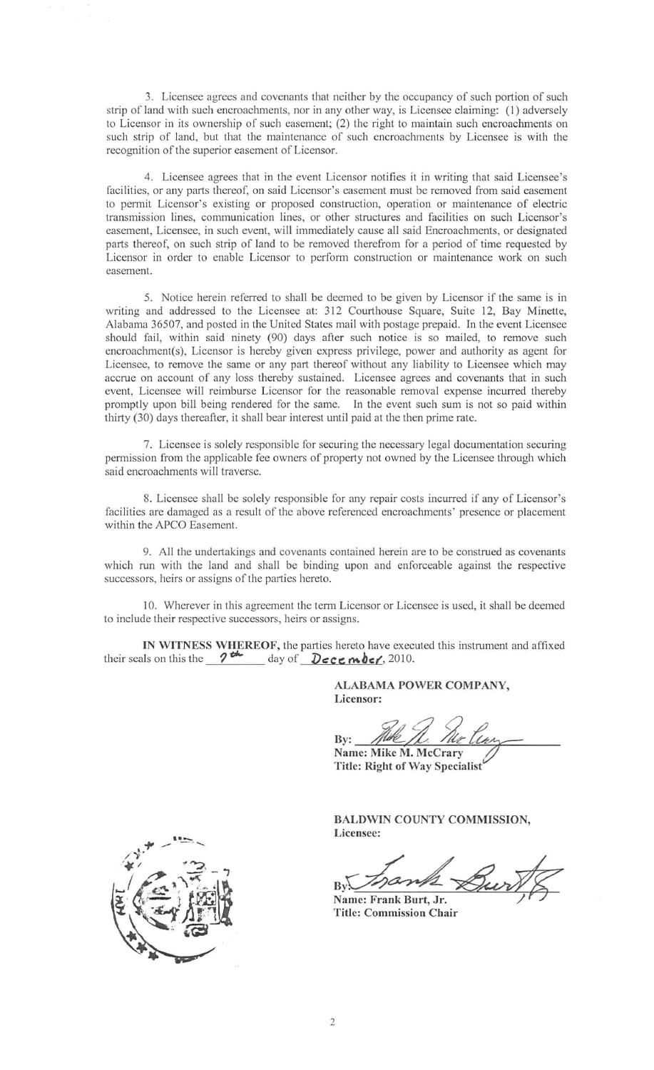3. Licensee agrees and covcnants that neither by the occupancy of such portion of such strip of land with such encroachments, nor in any other way, is Licensee claiming: (I) adversely to Licensor in its ownership of such easemcnt; (2) thc right to maintain such encroachments on such strip of land, but that the maintenance of such encroachments by Licensee is with the recognition of the superior easement of Licensor.

4. Licensee agrees that in the event Licensor notifies it in writing that said Licensee's facilities, or any parts thereof, on said Licensor's easement must be removed from said easement to permit Licensor's existing or proposed construction, operation or maintenance of electric **transmission lines, communication lines, or other structures and facilities on such Licensor's**  easement, Licensee, in such event, will immediately cause all said Encroachments, or designated parts thereof, on such strip of land to be removed therefrom for a period of time requested by Licensor in order to enable Licensor to perform construction or maintenance work on such **easement.** 

5. Notice herein referred to shall be deemcd to be given by Licensor if the same is in writing and addressed to the Licensee at: 312 Courthouse Square, Suite 12, Bay Minette, Alabama 36507, and posted in the United States mail with postage prepaid. In the event Licensee should fail, within said ninety (90) days after such notice is so mailed, to remove such encroachment(s), Licensor is hereby given express privilege, power and authority as agent for Licensee, to remove the same or any part thereof without any liability to Licensee which may accrue on account of any loss thereby sustained. Licensee agrees and covenants that in such event, Licensee will reimburse Licensor for the reasonable removal expense incurred thereby promptly upon bill being rendered for the same. In the event such sum is not so paid within thirty (30) days thereafter, it shall bear interest until paid at the then prime rate.

7. Licensee is solely responsible for securing the necessary legal documentation securing permission from the applicable fee owners of property not owned by the Licensee through which said encroachments will traverse.

8. Licensee shall be solely responsible for any repair costs incurred if any of Licensor's facilities are damaged as a result of the above referenced encroachments' presence or placement within the APCO Easement.

**9. A ll the undertakings and covenants contained herein arc to be construed as covenants**  which run with the land and shall be binding upon and enforceable against the respective successors, hcirs or assigns of the partics hereto.

10. Wherever in this agreement the term Licensor or Licensee is used, it shall be deemed to include their respective successors, heirs or assigns.

**IN WITNESS WHEREOF,** the parties hereto have executed this instrument and affixed their seals on this the  $2 \frac{4}{10}$  day of  $\frac{D}{\sqrt{C}}$  **mber**, 2010.

> ALABAMA POWER COMPANY, Licensor:

By:  $M^{\text{J}}/L$ . / $\mathcal{U}_2$ <br>Name: Mike M. McCrary

Title: Right of Way Specialist

BALDWIN COUNTY COMMISSION, Licensee:

By *Inama Burt* 

**Title: Commission Chair** 

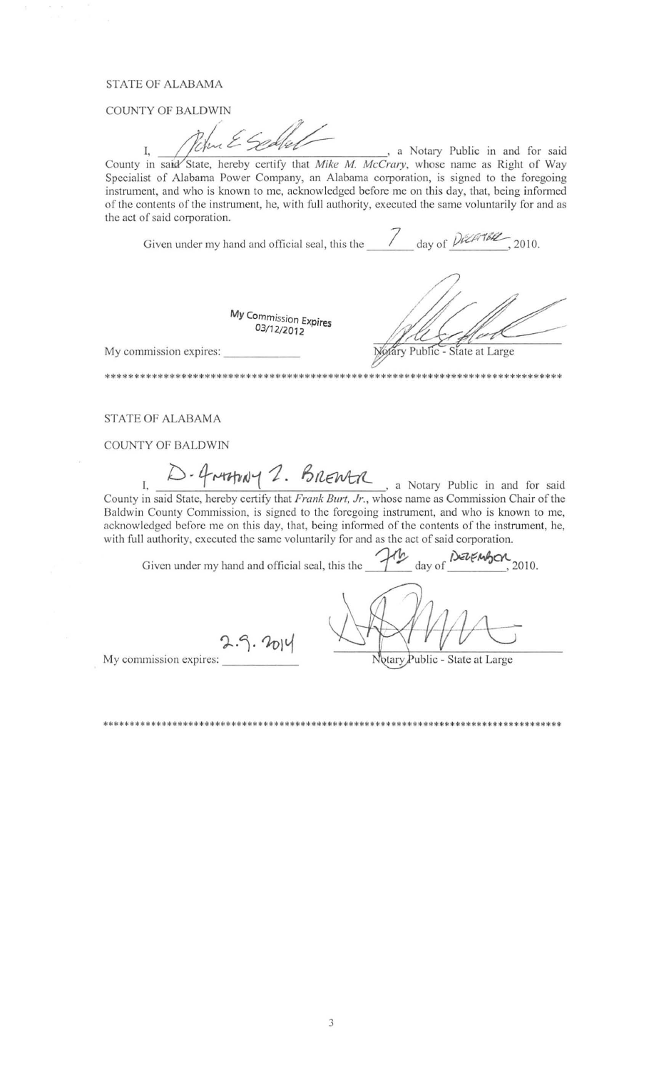# **STATE OF ALABAMA**

**COUNTY OF BALDWIN** 

, a Notary Public in and for said I. County in said State, hereby certify that Mike M. McCrary, whose name as Right of Way Specialist of Alabama Power Company, an Alabama corporation, is signed to the foregoing instrument, and who is known to me, acknowledged before me on this day, that, being informed of the contents of the instrument, he, with full authority, executed the same voluntarily for and as the act of said corporation.

Given under my hand and official seal, this the  $\frac{1}{\sqrt{2\pi}}$  day of  $\frac{D6267662}{2010}$ ,

My Commission Expires  $03/12/2012$ 

dary Public - State at Large

\*\*\*\*\*\*\*\*\*\*\*\*\*\*\*\*\*\*\*\*\*\*\*

My commission expires:

\*\*\*\*\*\*\*\*\*\*\*\*\*\*\*\*\*\*\*\*\*\*\*\*\*\*\*\*\*\*\*\*

**STATE OF ALABAMA** 

COUNTY OF BALDWIN

- Graphay 2. BRENTA, a Notary Public in and for said County in said State, hereby certify that *Frank Burt, Jr.*, whose name as Commission Chair of the Baldwin County Commission, is signed to the foregoing instrument, and who is known to me, acknowledged before me on this day, that, being informed of the contents of the instrument, he, with full authority, executed the same voluntarily for and as the act of said corporation.

In day of DEZEMBON Given under my hand and official seal, this the 2010.

 $2.9.2014$ My commission expires:

Notary Public - State at Large

\*\*\*\*\*\*\*\*\*\*\*\*\*\*\*\*\*\*\*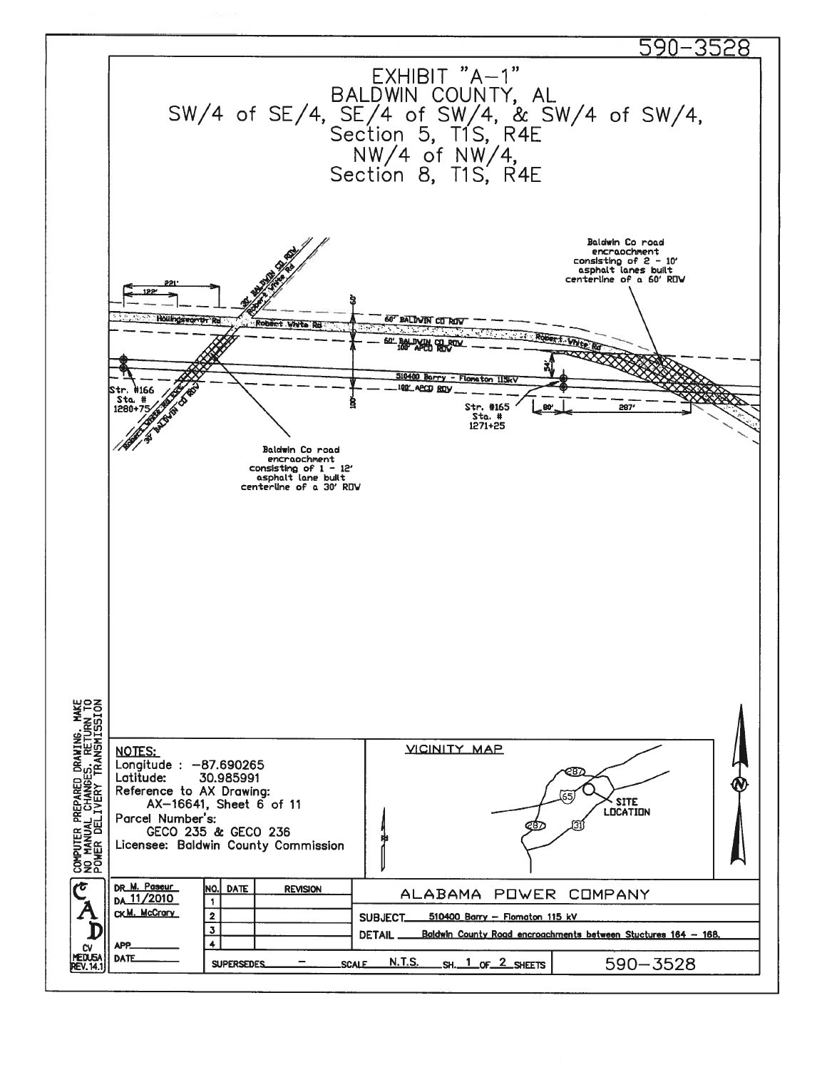